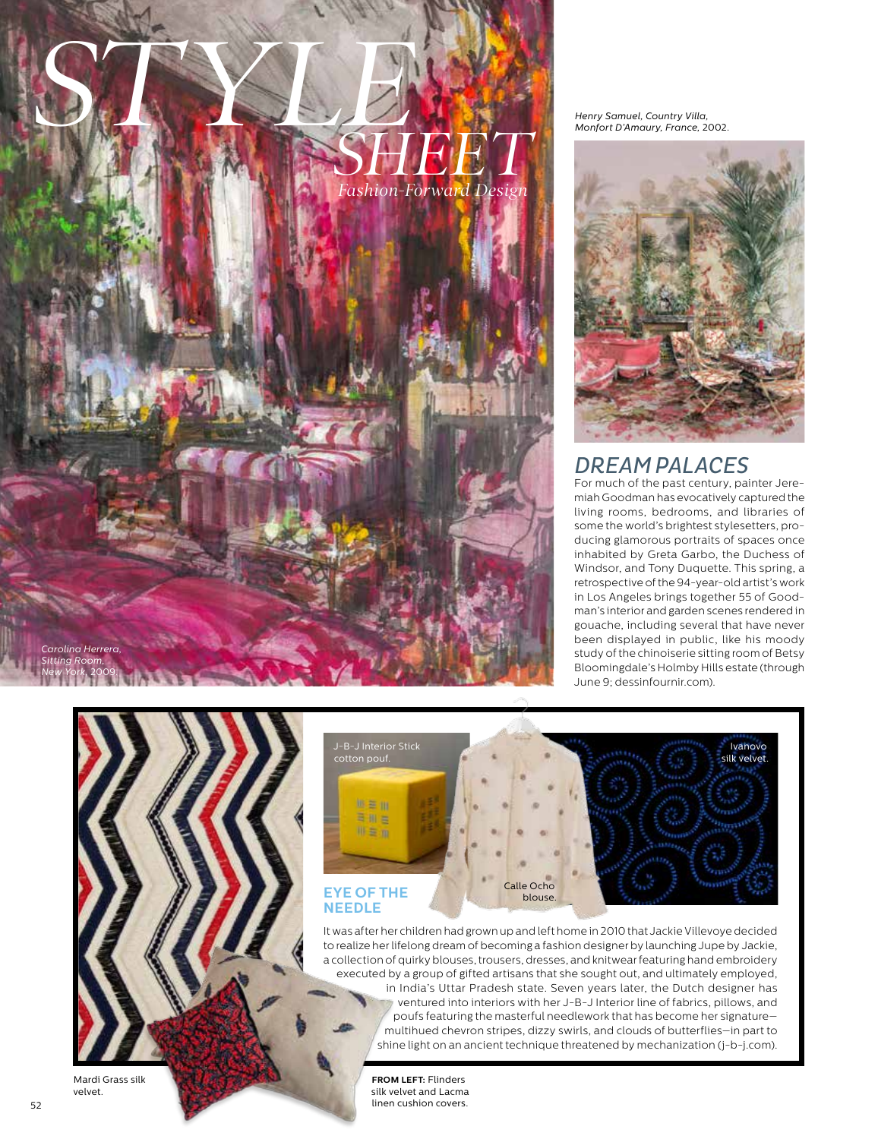

*Henry Samuel, Country Villa, Monfort D'Amaury, France,* 2002.



## *DREAM PALACES*

For much of the past century, painter Jeremiah Goodman has evocatively captured the living rooms, bedrooms, and libraries of some the world's brightest stylesetters, producing glamorous portraits of spaces once inhabited by Greta Garbo, the Duchess of Windsor, and Tony Duquette. This spring, a retrospective of the 94-year-old artist's work in Los Angeles brings together 55 of Goodman's interior and garden scenes rendered in gouache, including several that have never been displayed in public, like his moody study of the chinoiserie sitting room of Betsy Bloomingdale's Holmby Hills estate (through June 9; dessinfournir.com).



It was after her children had grown up and left home in 2010 that Jackie Villevoye decided to realize her lifelong dream of becoming a fashion designer by launching Jupe by Jackie, a collection of quirky blouses, trousers, dresses, and knitwear featuring hand embroidery executed by a group of gifted artisans that she sought out, and ultimately employed, in India's Uttar Pradesh state. Seven years later, the Dutch designer has ventured into interiors with her J-B-J Interior line of fabrics, pillows, and poufs featuring the masterful needlework that has become her signature multihued chevron stripes, dizzy swirls, and clouds of butterflies—in part to shine light on an ancient technique threatened by mechanization (j-b-j.com).

> **FROM LEFT:** Flinders silk velvet and Lacma linen cushion covers.